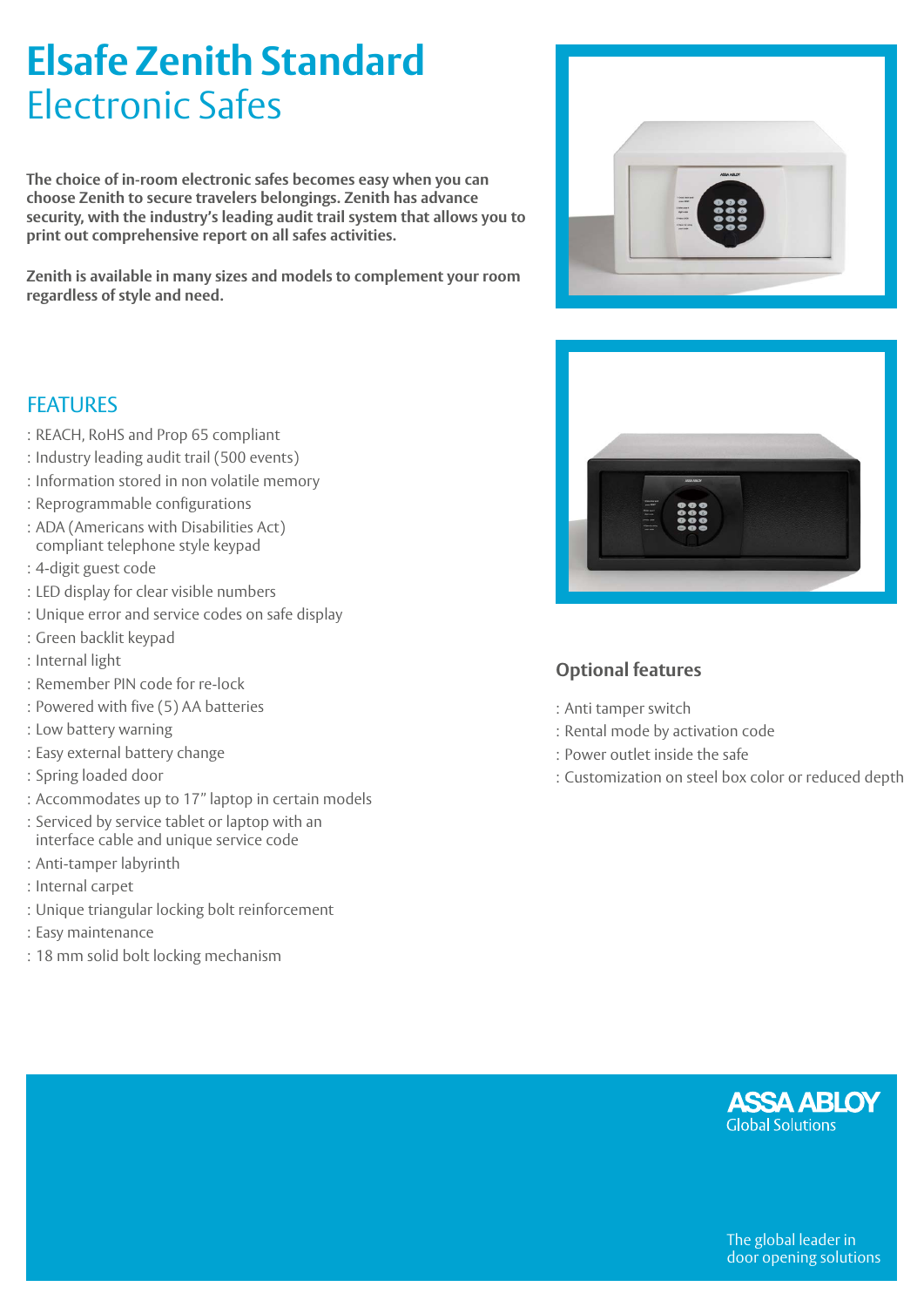# **Elsafe Zenith Standard**  Electronic Safes

**The choice of in-room electronic safes becomes easy when you can choose Zenith to secure travelers belongings. Zenith has advance security, with the industry's leading audit trail system that allows you to print out comprehensive report on all safes activities.** 

**Zenith is available in many sizes and models to complement your room regardless of style and need.**

# **FFATURES**

- : REACH, RoHS and Prop 65 compliant
- : Industry leading audit trail (500 events)
- : Information stored in non volatile memory
- : Reprogrammable configurations
- : ADA (Americans with Disabilities Act) compliant telephone style keypad
- : 4-digit guest code
- : LED display for clear visible numbers
- : Unique error and service codes on safe display
- : Green backlit keypad
- : Internal light
- : Remember PIN code for re-lock
- : Powered with five (5) AA batteries
- : Low battery warning
- : Easy external battery change
- : Spring loaded door
- : Accommodates up to 17" laptop in certain models
- : Serviced by service tablet or laptop with an interface cable and unique service code
- : Anti-tamper labyrinth
- : Internal carpet
- : Unique triangular locking bolt reinforcement
- : Easy maintenance
- : 18 mm solid bolt locking mechanism





# **Optional features**

- : Anti tamper switch
- : Rental mode by activation code
- : Power outlet inside the safe
- : Customization on steel box color or reduced depth